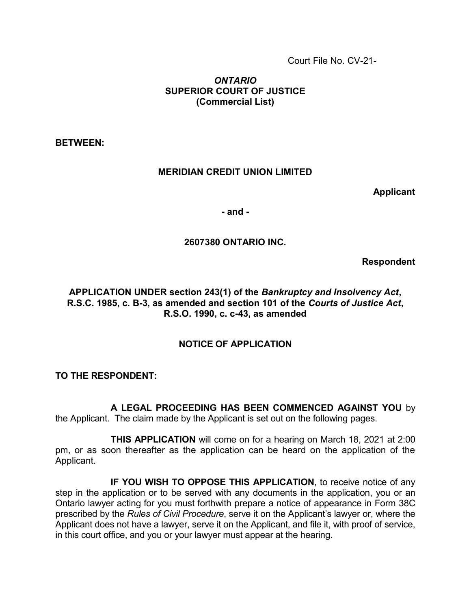Court File No. CV-21-

# ONTARIO SUPERIOR COURT OF JUSTICE (Commercial List)

BETWEEN:

## MERIDIAN CREDIT UNION LIMITED

Applicant

- and -

# 2607380 ONTARIO INC.

Respondent

# APPLICATION UNDER section 243(1) of the Bankruptcy and Insolvency Act, R.S.C. 1985, c. B-3, as amended and section 101 of the Courts of Justice Act, R.S.O. 1990, c. c-43, as amended

# NOTICE OF APPLICATION

TO THE RESPONDENT:

 A LEGAL PROCEEDING HAS BEEN COMMENCED AGAINST YOU by the Applicant. The claim made by the Applicant is set out on the following pages.

 THIS APPLICATION will come on for a hearing on March 18, 2021 at 2:00 pm, or as soon thereafter as the application can be heard on the application of the Applicant.

 IF YOU WISH TO OPPOSE THIS APPLICATION, to receive notice of any step in the application or to be served with any documents in the application, you or an Ontario lawyer acting for you must forthwith prepare a notice of appearance in Form 38C prescribed by the Rules of Civil Procedure, serve it on the Applicant's lawyer or, where the Applicant does not have a lawyer, serve it on the Applicant, and file it, with proof of service, in this court office, and you or your lawyer must appear at the hearing.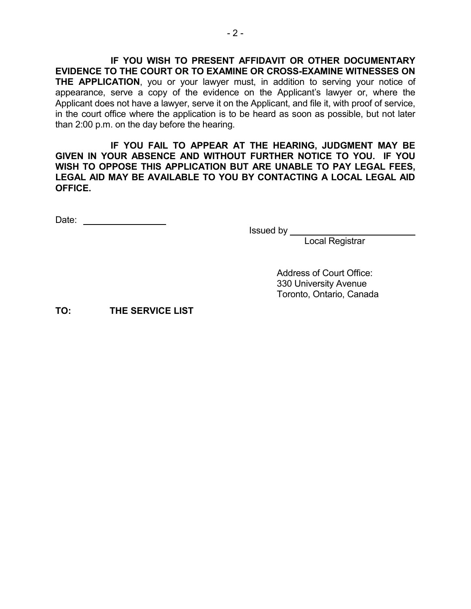IF YOU WISH TO PRESENT AFFIDAVIT OR OTHER DOCUMENTARY EVIDENCE TO THE COURT OR TO EXAMINE OR CROSS-EXAMINE WITNESSES ON **THE APPLICATION,** you or your lawyer must, in addition to serving your notice of appearance, serve a copy of the evidence on the Applicant's lawyer or, where the Applicant does not have a lawyer, serve it on the Applicant, and file it, with proof of service, in the court office where the application is to be heard as soon as possible, but not later than 2:00 p.m. on the day before the hearing.

 IF YOU FAIL TO APPEAR AT THE HEARING, JUDGMENT MAY BE GIVEN IN YOUR ABSENCE AND WITHOUT FURTHER NOTICE TO YOU. IF YOU WISH TO OPPOSE THIS APPLICATION BUT ARE UNABLE TO PAY LEGAL FEES, LEGAL AID MAY BE AVAILABLE TO YOU BY CONTACTING A LOCAL LEGAL AID OFFICE.

Date:

Issued by

Local Registrar

 Address of Court Office: 330 University Avenue Toronto, Ontario, Canada

TO: THE SERVICE LIST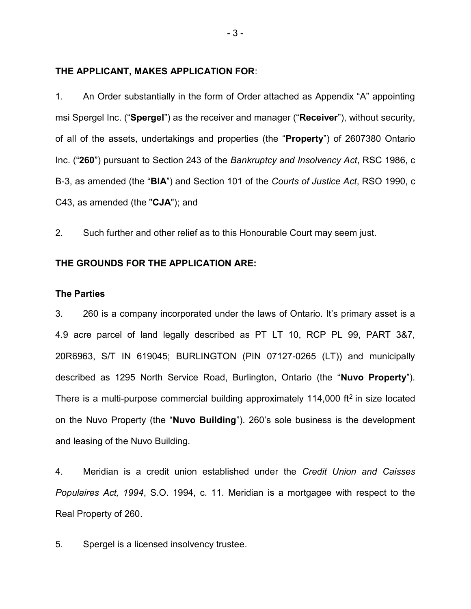#### THE APPLICANT, MAKES APPLICATION FOR:

1. An Order substantially in the form of Order attached as Appendix "A" appointing msi Spergel Inc. ("Spergel") as the receiver and manager ("Receiver"), without security, of all of the assets, undertakings and properties (the "Property") of 2607380 Ontario Inc. ("260") pursuant to Section 243 of the Bankruptcy and Insolvency Act, RSC 1986, c B-3, as amended (the "BIA") and Section 101 of the Courts of Justice Act, RSO 1990, c C43, as amended (the "CJA"); and

2. Such further and other relief as to this Honourable Court may seem just.

#### THE GROUNDS FOR THE APPLICATION ARE:

#### The Parties

3. 260 is a company incorporated under the laws of Ontario. It's primary asset is a 4.9 acre parcel of land legally described as PT LT 10, RCP PL 99, PART 3&7, 20R6963, S/T IN 619045; BURLINGTON (PIN 07127-0265 (LT)) and municipally described as 1295 North Service Road, Burlington, Ontario (the "Nuvo Property"). There is a multi-purpose commercial building approximately 114,000 ft<sup>2</sup> in size located on the Nuvo Property (the "Nuvo Building"). 260's sole business is the development and leasing of the Nuvo Building.

4. Meridian is a credit union established under the Credit Union and Caisses Populaires Act, 1994, S.O. 1994, c. 11. Meridian is a mortgagee with respect to the Real Property of 260.

5. Spergel is a licensed insolvency trustee.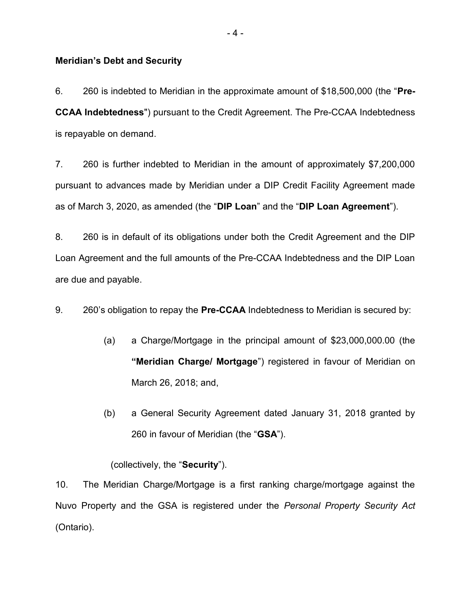#### Meridian's Debt and Security

6. 260 is indebted to Meridian in the approximate amount of \$18,500,000 (the "Pre-CCAA Indebtedness") pursuant to the Credit Agreement. The Pre-CCAA Indebtedness is repayable on demand.

7. 260 is further indebted to Meridian in the amount of approximately \$7,200,000 pursuant to advances made by Meridian under a DIP Credit Facility Agreement made as of March 3, 2020, as amended (the "DIP Loan" and the "DIP Loan Agreement").

8. 260 is in default of its obligations under both the Credit Agreement and the DIP Loan Agreement and the full amounts of the Pre-CCAA Indebtedness and the DIP Loan are due and payable.

9. 260's obligation to repay the Pre-CCAA Indebtedness to Meridian is secured by:

- (a) a Charge/Mortgage in the principal amount of \$23,000,000.00 (the "Meridian Charge/ Mortgage") registered in favour of Meridian on March 26, 2018; and,
- (b) a General Security Agreement dated January 31, 2018 granted by 260 in favour of Meridian (the "GSA").

#### (collectively, the "Security").

10. The Meridian Charge/Mortgage is a first ranking charge/mortgage against the Nuvo Property and the GSA is registered under the Personal Property Security Act (Ontario).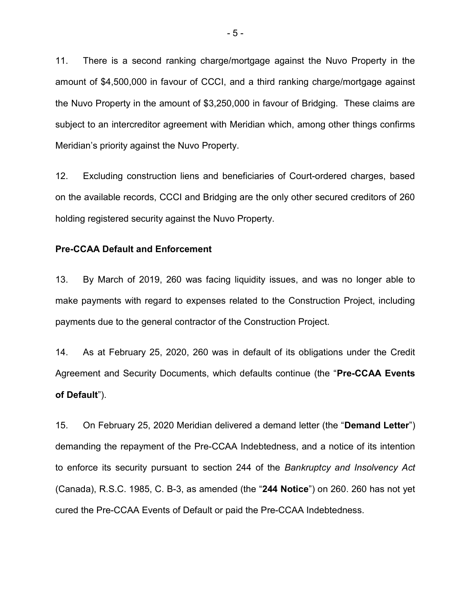11. There is a second ranking charge/mortgage against the Nuvo Property in the amount of \$4,500,000 in favour of CCCI, and a third ranking charge/mortgage against the Nuvo Property in the amount of \$3,250,000 in favour of Bridging. These claims are subject to an intercreditor agreement with Meridian which, among other things confirms Meridian's priority against the Nuvo Property.

12. Excluding construction liens and beneficiaries of Court-ordered charges, based on the available records, CCCI and Bridging are the only other secured creditors of 260 holding registered security against the Nuvo Property.

#### Pre-CCAA Default and Enforcement

13. By March of 2019, 260 was facing liquidity issues, and was no longer able to make payments with regard to expenses related to the Construction Project, including payments due to the general contractor of the Construction Project.

14. As at February 25, 2020, 260 was in default of its obligations under the Credit Agreement and Security Documents, which defaults continue (the "Pre-CCAA Events of Default").

15. On February 25, 2020 Meridian delivered a demand letter (the "Demand Letter") demanding the repayment of the Pre-CCAA Indebtedness, and a notice of its intention to enforce its security pursuant to section 244 of the Bankruptcy and Insolvency Act (Canada), R.S.C. 1985, C. B-3, as amended (the "244 Notice") on 260. 260 has not yet cured the Pre-CCAA Events of Default or paid the Pre-CCAA Indebtedness.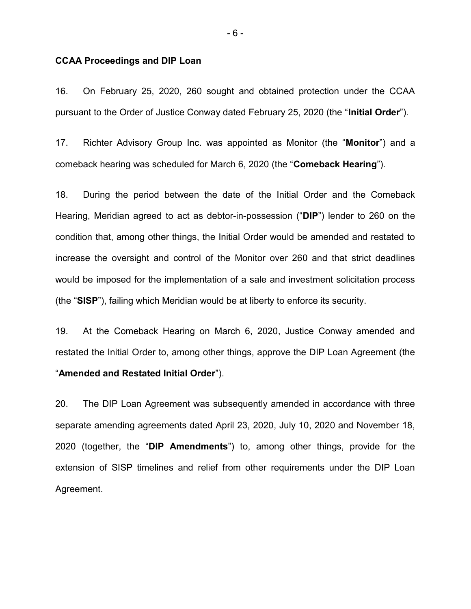#### CCAA Proceedings and DIP Loan

16. On February 25, 2020, 260 sought and obtained protection under the CCAA pursuant to the Order of Justice Conway dated February 25, 2020 (the "Initial Order").

17. Richter Advisory Group Inc. was appointed as Monitor (the "Monitor") and a comeback hearing was scheduled for March 6, 2020 (the "Comeback Hearing").

18. During the period between the date of the Initial Order and the Comeback Hearing, Meridian agreed to act as debtor-in-possession ("DIP") lender to 260 on the condition that, among other things, the Initial Order would be amended and restated to increase the oversight and control of the Monitor over 260 and that strict deadlines would be imposed for the implementation of a sale and investment solicitation process (the "SISP"), failing which Meridian would be at liberty to enforce its security.

19. At the Comeback Hearing on March 6, 2020, Justice Conway amended and restated the Initial Order to, among other things, approve the DIP Loan Agreement (the "Amended and Restated Initial Order").

20. The DIP Loan Agreement was subsequently amended in accordance with three separate amending agreements dated April 23, 2020, July 10, 2020 and November 18, 2020 (together, the "DIP Amendments") to, among other things, provide for the extension of SISP timelines and relief from other requirements under the DIP Loan Agreement.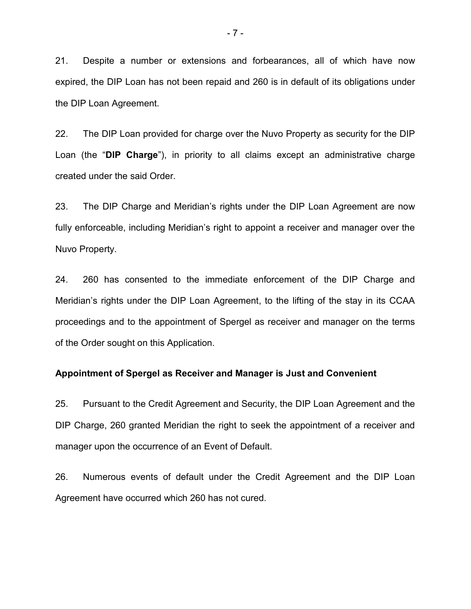21. Despite a number or extensions and forbearances, all of which have now expired, the DIP Loan has not been repaid and 260 is in default of its obligations under the DIP Loan Agreement.

22. The DIP Loan provided for charge over the Nuvo Property as security for the DIP Loan (the "DIP Charge"), in priority to all claims except an administrative charge created under the said Order.

23. The DIP Charge and Meridian's rights under the DIP Loan Agreement are now fully enforceable, including Meridian's right to appoint a receiver and manager over the Nuvo Property.

24. 260 has consented to the immediate enforcement of the DIP Charge and Meridian's rights under the DIP Loan Agreement, to the lifting of the stay in its CCAA proceedings and to the appointment of Spergel as receiver and manager on the terms of the Order sought on this Application.

#### Appointment of Spergel as Receiver and Manager is Just and Convenient

25. Pursuant to the Credit Agreement and Security, the DIP Loan Agreement and the DIP Charge, 260 granted Meridian the right to seek the appointment of a receiver and manager upon the occurrence of an Event of Default.

26. Numerous events of default under the Credit Agreement and the DIP Loan Agreement have occurred which 260 has not cured.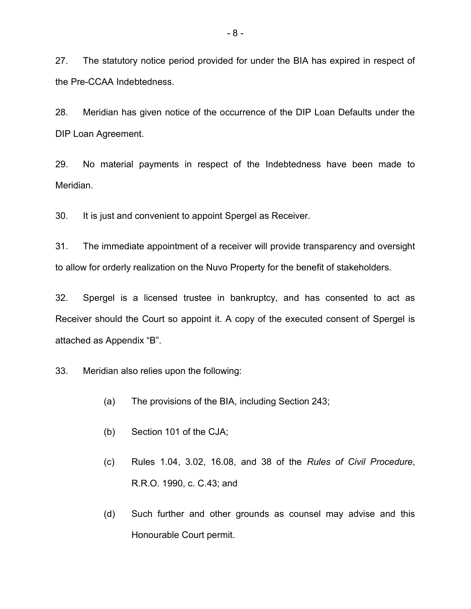27. The statutory notice period provided for under the BIA has expired in respect of the Pre-CCAA Indebtedness.

28. Meridian has given notice of the occurrence of the DIP Loan Defaults under the DIP Loan Agreement.

29. No material payments in respect of the Indebtedness have been made to Meridian.

30. It is just and convenient to appoint Spergel as Receiver.

31. The immediate appointment of a receiver will provide transparency and oversight to allow for orderly realization on the Nuvo Property for the benefit of stakeholders.

32. Spergel is a licensed trustee in bankruptcy, and has consented to act as Receiver should the Court so appoint it. A copy of the executed consent of Spergel is attached as Appendix "B".

33. Meridian also relies upon the following:

- (a) The provisions of the BIA, including Section 243;
- (b) Section 101 of the CJA;
- (c) Rules 1.04, 3.02, 16.08, and 38 of the Rules of Civil Procedure, R.R.O. 1990, c. C.43; and
- (d) Such further and other grounds as counsel may advise and this Honourable Court permit.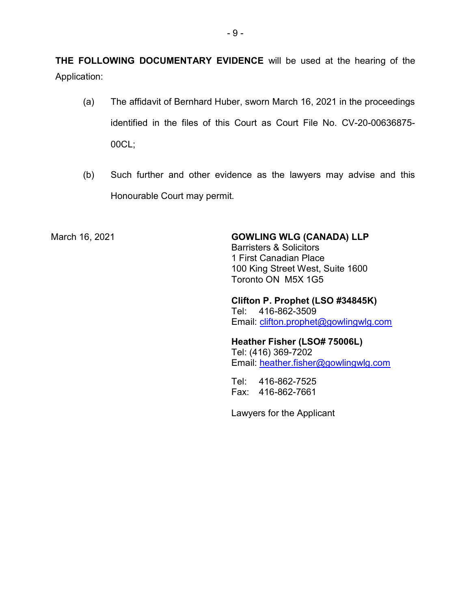THE FOLLOWING DOCUMENTARY EVIDENCE will be used at the hearing of the Application:

- (a) The affidavit of Bernhard Huber, sworn March 16, 2021 in the proceedings identified in the files of this Court as Court File No. CV-20-00636875- 00CL;
- (b) Such further and other evidence as the lawyers may advise and this Honourable Court may permit.

March 16, 2021 **GOWLING WLG (CANADA) LLP** 

Barristers & Solicitors 1 First Canadian Place 100 King Street West, Suite 1600 Toronto ON M5X 1G5

Clifton P. Prophet (LSO #34845K) Tel: 416-862-3509 Email: clifton.prophet@gowlingwlg.com

Heather Fisher (LSO# 75006L) Tel: (416) 369-7202 Email: heather.fisher@gowlingwlg.com

Tel: 416-862-7525 Fax: 416-862-7661

Lawyers for the Applicant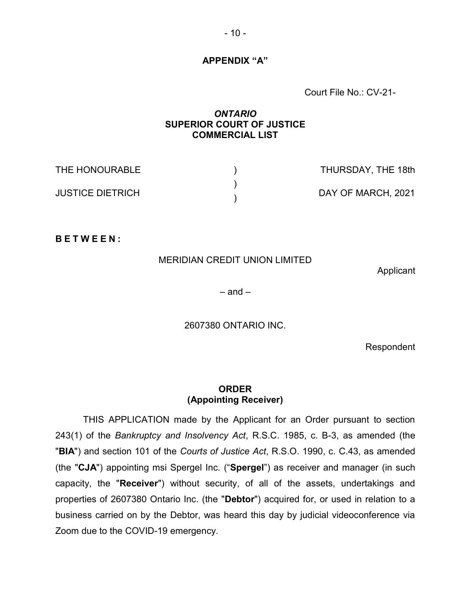### APPENDIX "A"

Court File No.: CV-21-

# ONTARIO SUPERIOR COURT OF JUSTICE COMMERCIAL LIST

| THE HONOURABLE          | THURSDAY, THE 18th |
|-------------------------|--------------------|
| <b>JUSTICE DIETRICH</b> | DAY OF MARCH, 2021 |

B E T W E E N :

## MERIDIAN CREDIT UNION LIMITED

Applicant

 $-$  and  $-$ 

2607380 ONTARIO INC.

Respondent

# ORDER (Appointing Receiver)

THIS APPLICATION made by the Applicant for an Order pursuant to section 243(1) of the Bankruptcy and Insolvency Act, R.S.C. 1985, c. B-3, as amended (the "BIA") and section 101 of the Courts of Justice Act, R.S.O. 1990, c. C.43, as amended (the "CJA") appointing msi Spergel Inc. ("Spergel") as receiver and manager (in such capacity, the "Receiver") without security, of all of the assets, undertakings and properties of 2607380 Ontario Inc. (the "Debtor") acquired for, or used in relation to a business carried on by the Debtor, was heard this day by judicial videoconference via Zoom due to the COVID-19 emergency.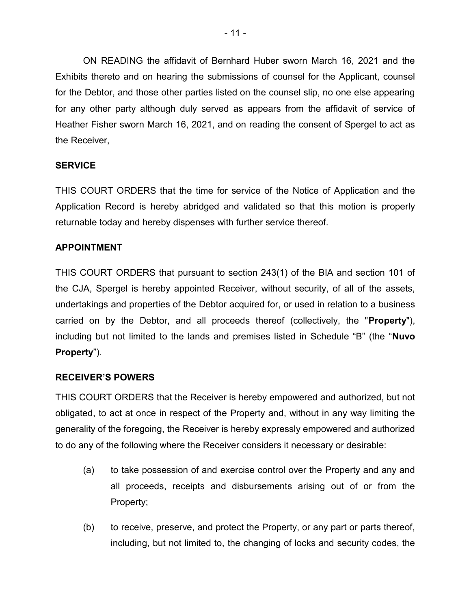ON READING the affidavit of Bernhard Huber sworn March 16, 2021 and the Exhibits thereto and on hearing the submissions of counsel for the Applicant, counsel for the Debtor, and those other parties listed on the counsel slip, no one else appearing for any other party although duly served as appears from the affidavit of service of Heather Fisher sworn March 16, 2021, and on reading the consent of Spergel to act as the Receiver,

# **SERVICE**

THIS COURT ORDERS that the time for service of the Notice of Application and the Application Record is hereby abridged and validated so that this motion is properly returnable today and hereby dispenses with further service thereof.

# APPOINTMENT

THIS COURT ORDERS that pursuant to section 243(1) of the BIA and section 101 of the CJA, Spergel is hereby appointed Receiver, without security, of all of the assets, undertakings and properties of the Debtor acquired for, or used in relation to a business carried on by the Debtor, and all proceeds thereof (collectively, the "**Property**"), including but not limited to the lands and premises listed in Schedule "B" (the "Nuvo Property").

# RECEIVER'S POWERS

THIS COURT ORDERS that the Receiver is hereby empowered and authorized, but not obligated, to act at once in respect of the Property and, without in any way limiting the generality of the foregoing, the Receiver is hereby expressly empowered and authorized to do any of the following where the Receiver considers it necessary or desirable:

- (a) to take possession of and exercise control over the Property and any and all proceeds, receipts and disbursements arising out of or from the Property;
- (b) to receive, preserve, and protect the Property, or any part or parts thereof, including, but not limited to, the changing of locks and security codes, the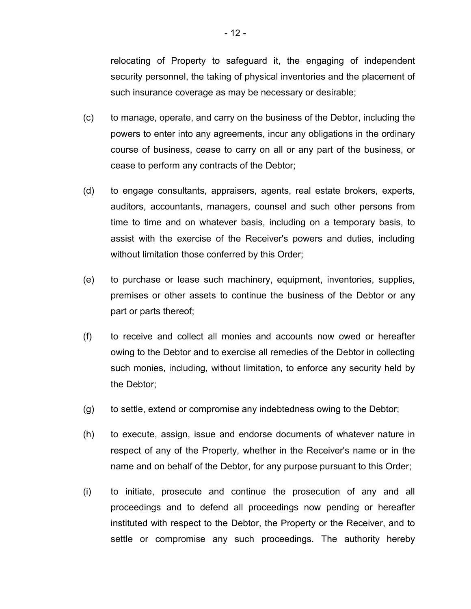relocating of Property to safeguard it, the engaging of independent security personnel, the taking of physical inventories and the placement of such insurance coverage as may be necessary or desirable;

- (c) to manage, operate, and carry on the business of the Debtor, including the powers to enter into any agreements, incur any obligations in the ordinary course of business, cease to carry on all or any part of the business, or cease to perform any contracts of the Debtor;
- (d) to engage consultants, appraisers, agents, real estate brokers, experts, auditors, accountants, managers, counsel and such other persons from time to time and on whatever basis, including on a temporary basis, to assist with the exercise of the Receiver's powers and duties, including without limitation those conferred by this Order;
- (e) to purchase or lease such machinery, equipment, inventories, supplies, premises or other assets to continue the business of the Debtor or any part or parts thereof;
- (f) to receive and collect all monies and accounts now owed or hereafter owing to the Debtor and to exercise all remedies of the Debtor in collecting such monies, including, without limitation, to enforce any security held by the Debtor;
- (g) to settle, extend or compromise any indebtedness owing to the Debtor;
- (h) to execute, assign, issue and endorse documents of whatever nature in respect of any of the Property, whether in the Receiver's name or in the name and on behalf of the Debtor, for any purpose pursuant to this Order;
- (i) to initiate, prosecute and continue the prosecution of any and all proceedings and to defend all proceedings now pending or hereafter instituted with respect to the Debtor, the Property or the Receiver, and to settle or compromise any such proceedings. The authority hereby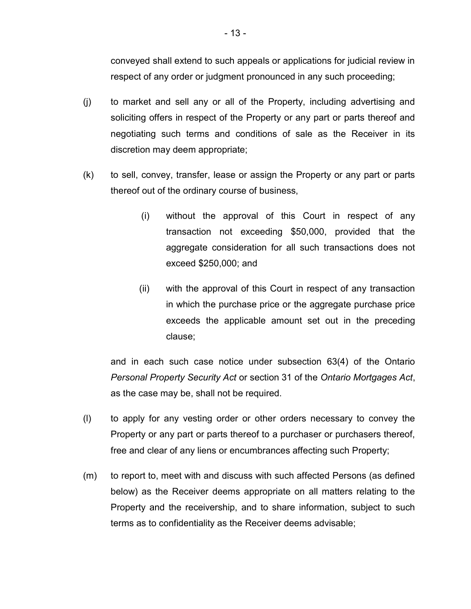conveyed shall extend to such appeals or applications for judicial review in respect of any order or judgment pronounced in any such proceeding;

- (j) to market and sell any or all of the Property, including advertising and soliciting offers in respect of the Property or any part or parts thereof and negotiating such terms and conditions of sale as the Receiver in its discretion may deem appropriate;
- (k) to sell, convey, transfer, lease or assign the Property or any part or parts thereof out of the ordinary course of business,
	- (i) without the approval of this Court in respect of any transaction not exceeding \$50,000, provided that the aggregate consideration for all such transactions does not exceed \$250,000; and
	- (ii) with the approval of this Court in respect of any transaction in which the purchase price or the aggregate purchase price exceeds the applicable amount set out in the preceding clause;

and in each such case notice under subsection 63(4) of the Ontario Personal Property Security Act or section 31 of the Ontario Mortgages Act, as the case may be, shall not be required.

- (l) to apply for any vesting order or other orders necessary to convey the Property or any part or parts thereof to a purchaser or purchasers thereof, free and clear of any liens or encumbrances affecting such Property;
- (m) to report to, meet with and discuss with such affected Persons (as defined below) as the Receiver deems appropriate on all matters relating to the Property and the receivership, and to share information, subject to such terms as to confidentiality as the Receiver deems advisable;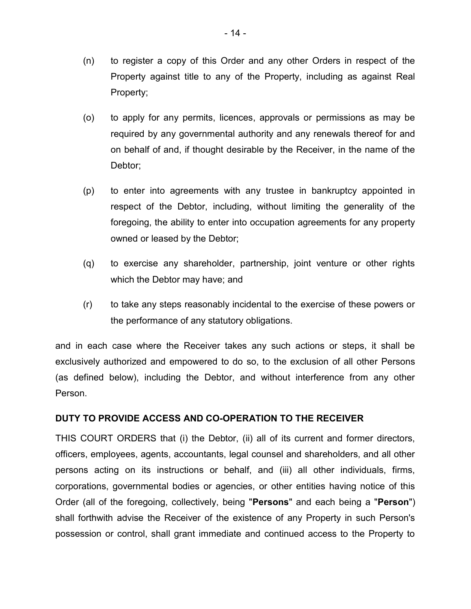- (n) to register a copy of this Order and any other Orders in respect of the Property against title to any of the Property, including as against Real Property;
- (o) to apply for any permits, licences, approvals or permissions as may be required by any governmental authority and any renewals thereof for and on behalf of and, if thought desirable by the Receiver, in the name of the Debtor;
- (p) to enter into agreements with any trustee in bankruptcy appointed in respect of the Debtor, including, without limiting the generality of the foregoing, the ability to enter into occupation agreements for any property owned or leased by the Debtor;
- (q) to exercise any shareholder, partnership, joint venture or other rights which the Debtor may have; and
- (r) to take any steps reasonably incidental to the exercise of these powers or the performance of any statutory obligations.

and in each case where the Receiver takes any such actions or steps, it shall be exclusively authorized and empowered to do so, to the exclusion of all other Persons (as defined below), including the Debtor, and without interference from any other Person.

# DUTY TO PROVIDE ACCESS AND CO-OPERATION TO THE RECEIVER

THIS COURT ORDERS that (i) the Debtor, (ii) all of its current and former directors, officers, employees, agents, accountants, legal counsel and shareholders, and all other persons acting on its instructions or behalf, and (iii) all other individuals, firms, corporations, governmental bodies or agencies, or other entities having notice of this Order (all of the foregoing, collectively, being "Persons" and each being a "Person") shall forthwith advise the Receiver of the existence of any Property in such Person's possession or control, shall grant immediate and continued access to the Property to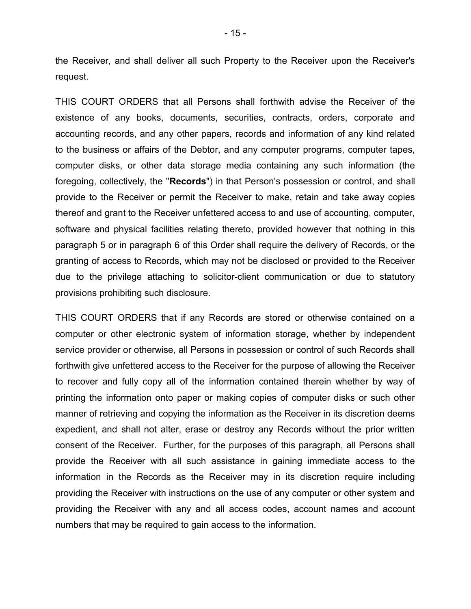the Receiver, and shall deliver all such Property to the Receiver upon the Receiver's request.

THIS COURT ORDERS that all Persons shall forthwith advise the Receiver of the existence of any books, documents, securities, contracts, orders, corporate and accounting records, and any other papers, records and information of any kind related to the business or affairs of the Debtor, and any computer programs, computer tapes, computer disks, or other data storage media containing any such information (the foregoing, collectively, the "Records") in that Person's possession or control, and shall provide to the Receiver or permit the Receiver to make, retain and take away copies thereof and grant to the Receiver unfettered access to and use of accounting, computer, software and physical facilities relating thereto, provided however that nothing in this paragraph 5 or in paragraph 6 of this Order shall require the delivery of Records, or the granting of access to Records, which may not be disclosed or provided to the Receiver due to the privilege attaching to solicitor-client communication or due to statutory provisions prohibiting such disclosure.

THIS COURT ORDERS that if any Records are stored or otherwise contained on a computer or other electronic system of information storage, whether by independent service provider or otherwise, all Persons in possession or control of such Records shall forthwith give unfettered access to the Receiver for the purpose of allowing the Receiver to recover and fully copy all of the information contained therein whether by way of printing the information onto paper or making copies of computer disks or such other manner of retrieving and copying the information as the Receiver in its discretion deems expedient, and shall not alter, erase or destroy any Records without the prior written consent of the Receiver. Further, for the purposes of this paragraph, all Persons shall provide the Receiver with all such assistance in gaining immediate access to the information in the Records as the Receiver may in its discretion require including providing the Receiver with instructions on the use of any computer or other system and providing the Receiver with any and all access codes, account names and account numbers that may be required to gain access to the information.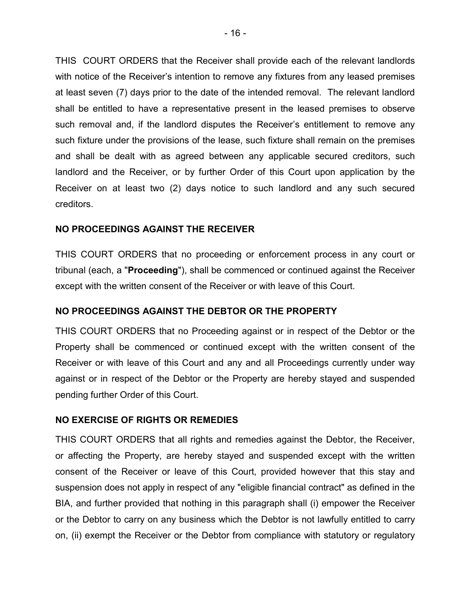THIS COURT ORDERS that the Receiver shall provide each of the relevant landlords with notice of the Receiver's intention to remove any fixtures from any leased premises at least seven (7) days prior to the date of the intended removal. The relevant landlord shall be entitled to have a representative present in the leased premises to observe such removal and, if the landlord disputes the Receiver's entitlement to remove any such fixture under the provisions of the lease, such fixture shall remain on the premises and shall be dealt with as agreed between any applicable secured creditors, such landlord and the Receiver, or by further Order of this Court upon application by the Receiver on at least two (2) days notice to such landlord and any such secured creditors.

# NO PROCEEDINGS AGAINST THE RECEIVER

THIS COURT ORDERS that no proceeding or enforcement process in any court or tribunal (each, a "Proceeding"), shall be commenced or continued against the Receiver except with the written consent of the Receiver or with leave of this Court.

# NO PROCEEDINGS AGAINST THE DEBTOR OR THE PROPERTY

THIS COURT ORDERS that no Proceeding against or in respect of the Debtor or the Property shall be commenced or continued except with the written consent of the Receiver or with leave of this Court and any and all Proceedings currently under way against or in respect of the Debtor or the Property are hereby stayed and suspended pending further Order of this Court.

# NO EXERCISE OF RIGHTS OR REMEDIES

THIS COURT ORDERS that all rights and remedies against the Debtor, the Receiver, or affecting the Property, are hereby stayed and suspended except with the written consent of the Receiver or leave of this Court, provided however that this stay and suspension does not apply in respect of any "eligible financial contract" as defined in the BIA, and further provided that nothing in this paragraph shall (i) empower the Receiver or the Debtor to carry on any business which the Debtor is not lawfully entitled to carry on, (ii) exempt the Receiver or the Debtor from compliance with statutory or regulatory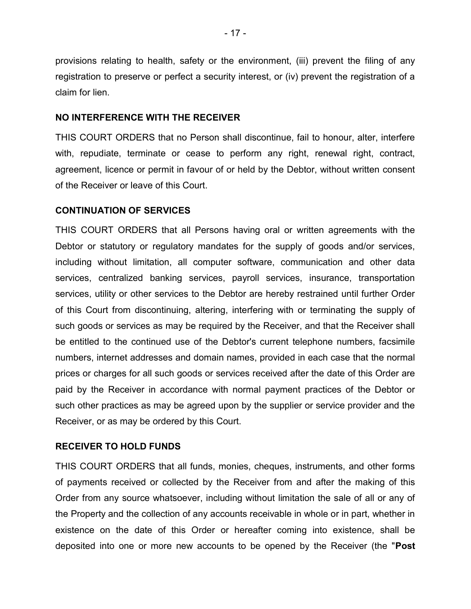provisions relating to health, safety or the environment, (iii) prevent the filing of any registration to preserve or perfect a security interest, or (iv) prevent the registration of a claim for lien.

# NO INTERFERENCE WITH THE RECEIVER

THIS COURT ORDERS that no Person shall discontinue, fail to honour, alter, interfere with, repudiate, terminate or cease to perform any right, renewal right, contract, agreement, licence or permit in favour of or held by the Debtor, without written consent of the Receiver or leave of this Court.

## CONTINUATION OF SERVICES

THIS COURT ORDERS that all Persons having oral or written agreements with the Debtor or statutory or regulatory mandates for the supply of goods and/or services, including without limitation, all computer software, communication and other data services, centralized banking services, payroll services, insurance, transportation services, utility or other services to the Debtor are hereby restrained until further Order of this Court from discontinuing, altering, interfering with or terminating the supply of such goods or services as may be required by the Receiver, and that the Receiver shall be entitled to the continued use of the Debtor's current telephone numbers, facsimile numbers, internet addresses and domain names, provided in each case that the normal prices or charges for all such goods or services received after the date of this Order are paid by the Receiver in accordance with normal payment practices of the Debtor or such other practices as may be agreed upon by the supplier or service provider and the Receiver, or as may be ordered by this Court.

# RECEIVER TO HOLD FUNDS

THIS COURT ORDERS that all funds, monies, cheques, instruments, and other forms of payments received or collected by the Receiver from and after the making of this Order from any source whatsoever, including without limitation the sale of all or any of the Property and the collection of any accounts receivable in whole or in part, whether in existence on the date of this Order or hereafter coming into existence, shall be deposited into one or more new accounts to be opened by the Receiver (the "Post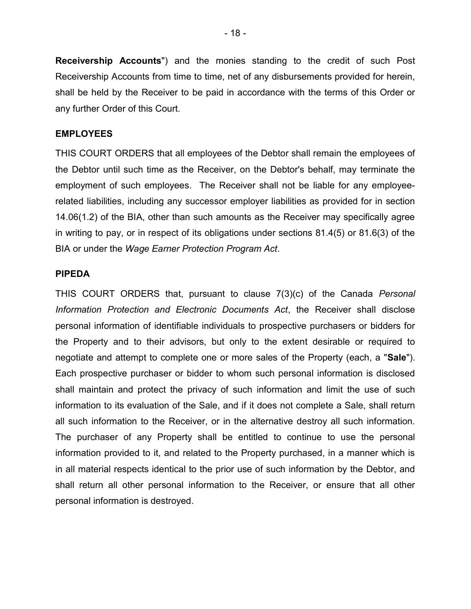Receivership Accounts") and the monies standing to the credit of such Post Receivership Accounts from time to time, net of any disbursements provided for herein, shall be held by the Receiver to be paid in accordance with the terms of this Order or any further Order of this Court.

#### EMPLOYEES

THIS COURT ORDERS that all employees of the Debtor shall remain the employees of the Debtor until such time as the Receiver, on the Debtor's behalf, may terminate the employment of such employees. The Receiver shall not be liable for any employeerelated liabilities, including any successor employer liabilities as provided for in section 14.06(1.2) of the BIA, other than such amounts as the Receiver may specifically agree in writing to pay, or in respect of its obligations under sections 81.4(5) or 81.6(3) of the BIA or under the Wage Earner Protection Program Act.

## PIPEDA

THIS COURT ORDERS that, pursuant to clause 7(3)(c) of the Canada Personal Information Protection and Electronic Documents Act, the Receiver shall disclose personal information of identifiable individuals to prospective purchasers or bidders for the Property and to their advisors, but only to the extent desirable or required to negotiate and attempt to complete one or more sales of the Property (each, a "Sale"). Each prospective purchaser or bidder to whom such personal information is disclosed shall maintain and protect the privacy of such information and limit the use of such information to its evaluation of the Sale, and if it does not complete a Sale, shall return all such information to the Receiver, or in the alternative destroy all such information. The purchaser of any Property shall be entitled to continue to use the personal information provided to it, and related to the Property purchased, in a manner which is in all material respects identical to the prior use of such information by the Debtor, and shall return all other personal information to the Receiver, or ensure that all other personal information is destroyed.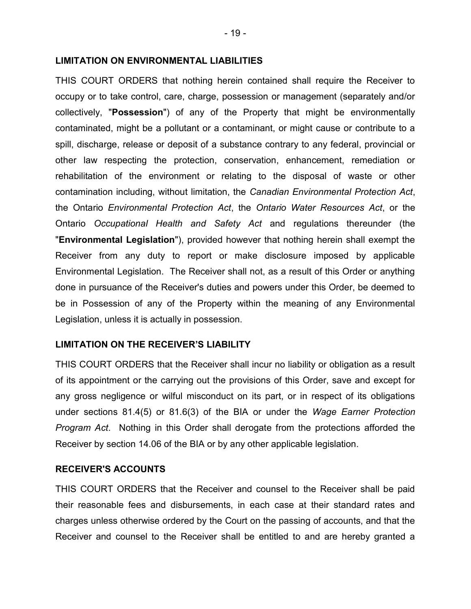#### LIMITATION ON ENVIRONMENTAL LIABILITIES

THIS COURT ORDERS that nothing herein contained shall require the Receiver to occupy or to take control, care, charge, possession or management (separately and/or collectively, "Possession") of any of the Property that might be environmentally contaminated, might be a pollutant or a contaminant, or might cause or contribute to a spill, discharge, release or deposit of a substance contrary to any federal, provincial or other law respecting the protection, conservation, enhancement, remediation or rehabilitation of the environment or relating to the disposal of waste or other contamination including, without limitation, the Canadian Environmental Protection Act, the Ontario Environmental Protection Act, the Ontario Water Resources Act, or the Ontario Occupational Health and Safety Act and regulations thereunder (the "Environmental Legislation"), provided however that nothing herein shall exempt the Receiver from any duty to report or make disclosure imposed by applicable Environmental Legislation. The Receiver shall not, as a result of this Order or anything done in pursuance of the Receiver's duties and powers under this Order, be deemed to be in Possession of any of the Property within the meaning of any Environmental Legislation, unless it is actually in possession.

#### LIMITATION ON THE RECEIVER'S LIABILITY

THIS COURT ORDERS that the Receiver shall incur no liability or obligation as a result of its appointment or the carrying out the provisions of this Order, save and except for any gross negligence or wilful misconduct on its part, or in respect of its obligations under sections 81.4(5) or 81.6(3) of the BIA or under the Wage Earner Protection Program Act. Nothing in this Order shall derogate from the protections afforded the Receiver by section 14.06 of the BIA or by any other applicable legislation.

#### RECEIVER'S ACCOUNTS

THIS COURT ORDERS that the Receiver and counsel to the Receiver shall be paid their reasonable fees and disbursements, in each case at their standard rates and charges unless otherwise ordered by the Court on the passing of accounts, and that the Receiver and counsel to the Receiver shall be entitled to and are hereby granted a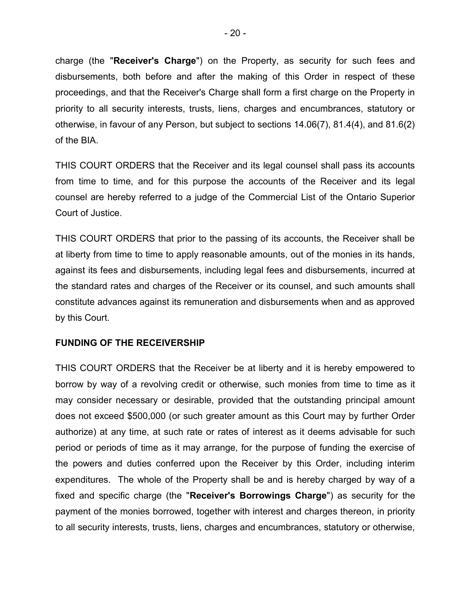charge (the "Receiver's Charge") on the Property, as security for such fees and disbursements, both before and after the making of this Order in respect of these proceedings, and that the Receiver's Charge shall form a first charge on the Property in priority to all security interests, trusts, liens, charges and encumbrances, statutory or otherwise, in favour of any Person, but subject to sections 14.06(7), 81.4(4), and 81.6(2) of the BIA.

THIS COURT ORDERS that the Receiver and its legal counsel shall pass its accounts from time to time, and for this purpose the accounts of the Receiver and its legal counsel are hereby referred to a judge of the Commercial List of the Ontario Superior Court of Justice.

THIS COURT ORDERS that prior to the passing of its accounts, the Receiver shall be at liberty from time to time to apply reasonable amounts, out of the monies in its hands, against its fees and disbursements, including legal fees and disbursements, incurred at the standard rates and charges of the Receiver or its counsel, and such amounts shall constitute advances against its remuneration and disbursements when and as approved by this Court.

# FUNDING OF THE RECEIVERSHIP

THIS COURT ORDERS that the Receiver be at liberty and it is hereby empowered to borrow by way of a revolving credit or otherwise, such monies from time to time as it may consider necessary or desirable, provided that the outstanding principal amount does not exceed \$500,000 (or such greater amount as this Court may by further Order authorize) at any time, at such rate or rates of interest as it deems advisable for such period or periods of time as it may arrange, for the purpose of funding the exercise of the powers and duties conferred upon the Receiver by this Order, including interim expenditures. The whole of the Property shall be and is hereby charged by way of a fixed and specific charge (the "Receiver's Borrowings Charge") as security for the payment of the monies borrowed, together with interest and charges thereon, in priority to all security interests, trusts, liens, charges and encumbrances, statutory or otherwise,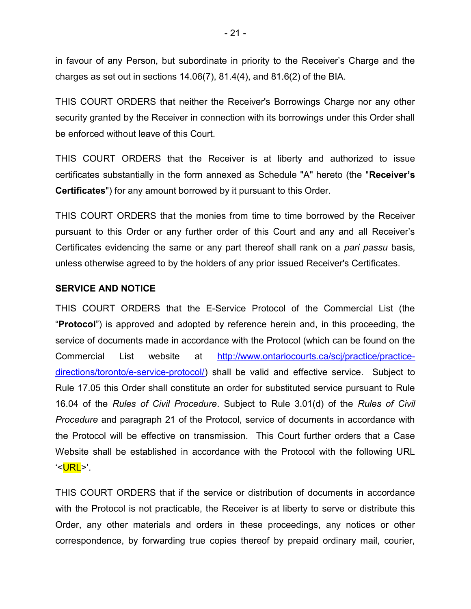in favour of any Person, but subordinate in priority to the Receiver's Charge and the charges as set out in sections  $14.06(7)$ ,  $81.4(4)$ , and  $81.6(2)$  of the BIA.

THIS COURT ORDERS that neither the Receiver's Borrowings Charge nor any other security granted by the Receiver in connection with its borrowings under this Order shall be enforced without leave of this Court.

THIS COURT ORDERS that the Receiver is at liberty and authorized to issue certificates substantially in the form annexed as Schedule "A" hereto (the "Receiver's Certificates") for any amount borrowed by it pursuant to this Order.

THIS COURT ORDERS that the monies from time to time borrowed by the Receiver pursuant to this Order or any further order of this Court and any and all Receiver's Certificates evidencing the same or any part thereof shall rank on a *pari passu* basis, unless otherwise agreed to by the holders of any prior issued Receiver's Certificates.

# SERVICE AND NOTICE

THIS COURT ORDERS that the E-Service Protocol of the Commercial List (the "Protocol") is approved and adopted by reference herein and, in this proceeding, the service of documents made in accordance with the Protocol (which can be found on the Commercial List website at http://www.ontariocourts.ca/scj/practice/practicedirections/toronto/e-service-protocol/) shall be valid and effective service. Subject to Rule 17.05 this Order shall constitute an order for substituted service pursuant to Rule 16.04 of the Rules of Civil Procedure. Subject to Rule 3.01(d) of the Rules of Civil Procedure and paragraph 21 of the Protocol, service of documents in accordance with the Protocol will be effective on transmission. This Court further orders that a Case Website shall be established in accordance with the Protocol with the following URL '<URL>'.

THIS COURT ORDERS that if the service or distribution of documents in accordance with the Protocol is not practicable, the Receiver is at liberty to serve or distribute this Order, any other materials and orders in these proceedings, any notices or other correspondence, by forwarding true copies thereof by prepaid ordinary mail, courier,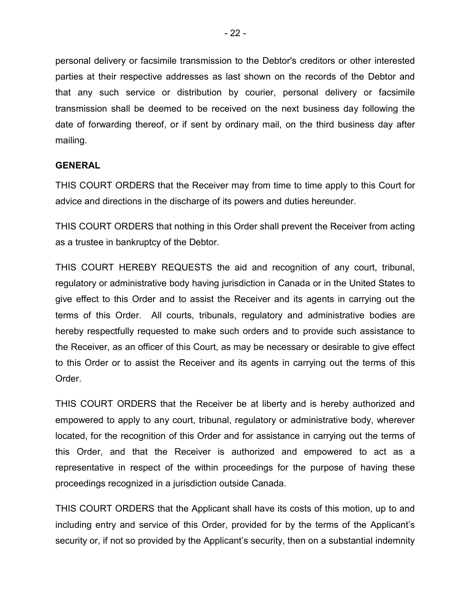personal delivery or facsimile transmission to the Debtor's creditors or other interested parties at their respective addresses as last shown on the records of the Debtor and that any such service or distribution by courier, personal delivery or facsimile transmission shall be deemed to be received on the next business day following the date of forwarding thereof, or if sent by ordinary mail, on the third business day after mailing.

# **GENERAL**

THIS COURT ORDERS that the Receiver may from time to time apply to this Court for advice and directions in the discharge of its powers and duties hereunder.

THIS COURT ORDERS that nothing in this Order shall prevent the Receiver from acting as a trustee in bankruptcy of the Debtor.

THIS COURT HEREBY REQUESTS the aid and recognition of any court, tribunal, regulatory or administrative body having jurisdiction in Canada or in the United States to give effect to this Order and to assist the Receiver and its agents in carrying out the terms of this Order. All courts, tribunals, regulatory and administrative bodies are hereby respectfully requested to make such orders and to provide such assistance to the Receiver, as an officer of this Court, as may be necessary or desirable to give effect to this Order or to assist the Receiver and its agents in carrying out the terms of this **Order** 

THIS COURT ORDERS that the Receiver be at liberty and is hereby authorized and empowered to apply to any court, tribunal, regulatory or administrative body, wherever located, for the recognition of this Order and for assistance in carrying out the terms of this Order, and that the Receiver is authorized and empowered to act as a representative in respect of the within proceedings for the purpose of having these proceedings recognized in a jurisdiction outside Canada.

THIS COURT ORDERS that the Applicant shall have its costs of this motion, up to and including entry and service of this Order, provided for by the terms of the Applicant's security or, if not so provided by the Applicant's security, then on a substantial indemnity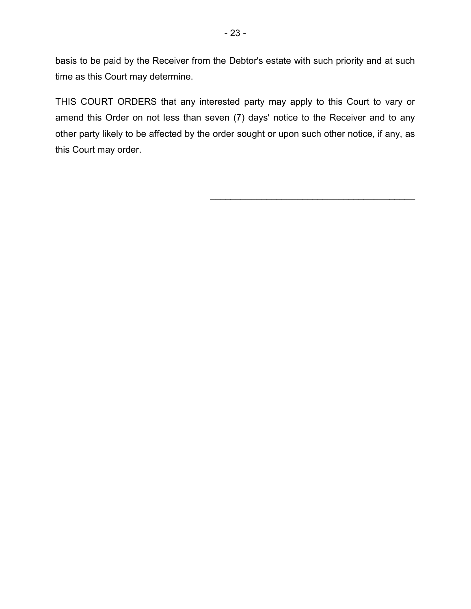basis to be paid by the Receiver from the Debtor's estate with such priority and at such time as this Court may determine.

THIS COURT ORDERS that any interested party may apply to this Court to vary or amend this Order on not less than seven (7) days' notice to the Receiver and to any other party likely to be affected by the order sought or upon such other notice, if any, as this Court may order.

 $\mathcal{L}_\text{max}$  , and the set of the set of the set of the set of the set of the set of the set of the set of the set of the set of the set of the set of the set of the set of the set of the set of the set of the set of the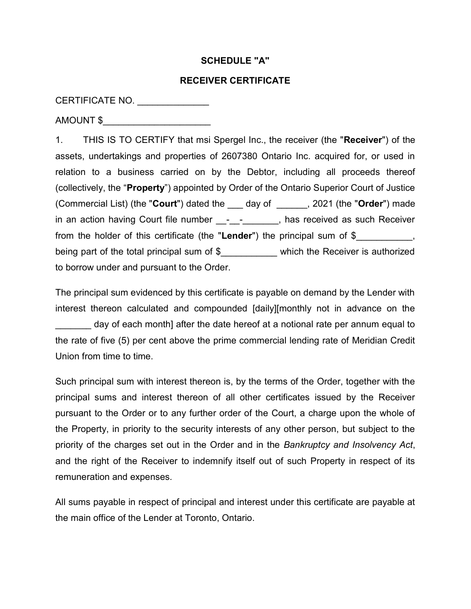# SCHEDULE "A"

### RECEIVER CERTIFICATE

# CERTIFICATE NO. \_\_\_\_\_\_\_\_\_\_\_\_\_\_\_\_

AMOUNT \$\_\_\_\_\_\_\_\_\_\_\_\_\_\_\_\_\_\_\_\_\_

1. THIS IS TO CERTIFY that msi Spergel Inc., the receiver (the "Receiver") of the assets, undertakings and properties of 2607380 Ontario Inc. acquired for, or used in relation to a business carried on by the Debtor, including all proceeds thereof (collectively, the "Property") appointed by Order of the Ontario Superior Court of Justice (Commercial List) (the "Court") dated the \_\_\_ day of \_\_\_\_\_\_, 2021 (the "Order") made in an action having Court file number - - , has received as such Receiver from the holder of this certificate (the "Lender") the principal sum of \$ being part of the total principal sum of \$\_\_\_\_\_\_\_\_\_\_\_ which the Receiver is authorized to borrow under and pursuant to the Order.

The principal sum evidenced by this certificate is payable on demand by the Lender with interest thereon calculated and compounded [daily][monthly not in advance on the day of each month] after the date hereof at a notional rate per annum equal to the rate of five (5) per cent above the prime commercial lending rate of Meridian Credit Union from time to time.

Such principal sum with interest thereon is, by the terms of the Order, together with the principal sums and interest thereon of all other certificates issued by the Receiver pursuant to the Order or to any further order of the Court, a charge upon the whole of the Property, in priority to the security interests of any other person, but subject to the priority of the charges set out in the Order and in the Bankruptcy and Insolvency Act, and the right of the Receiver to indemnify itself out of such Property in respect of its remuneration and expenses.

All sums payable in respect of principal and interest under this certificate are payable at the main office of the Lender at Toronto, Ontario.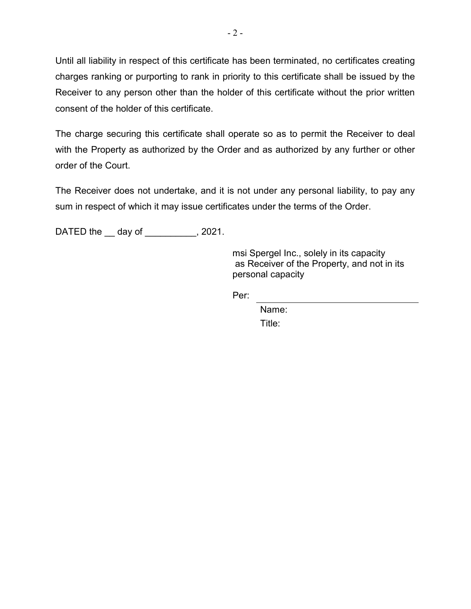Until all liability in respect of this certificate has been terminated, no certificates creating charges ranking or purporting to rank in priority to this certificate shall be issued by the Receiver to any person other than the holder of this certificate without the prior written consent of the holder of this certificate.

The charge securing this certificate shall operate so as to permit the Receiver to deal with the Property as authorized by the Order and as authorized by any further or other order of the Court.

The Receiver does not undertake, and it is not under any personal liability, to pay any sum in respect of which it may issue certificates under the terms of the Order.

DATED the  $\_\$  day of  $\_\_\_\$  , 2021.

msi Spergel Inc., solely in its capacity as Receiver of the Property, and not in its personal capacity

**Per:** The Contract of the Contract of the Per:

 Name: Title: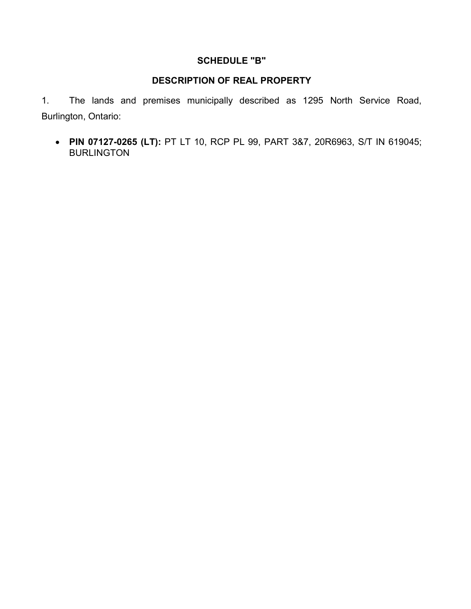# SCHEDULE "B"

# DESCRIPTION OF REAL PROPERTY

1. The lands and premises municipally described as 1295 North Service Road, Burlington, Ontario:

• PIN 07127-0265 (LT): PT LT 10, RCP PL 99, PART 3&7, 20R6963, S/T IN 619045; BURLINGTON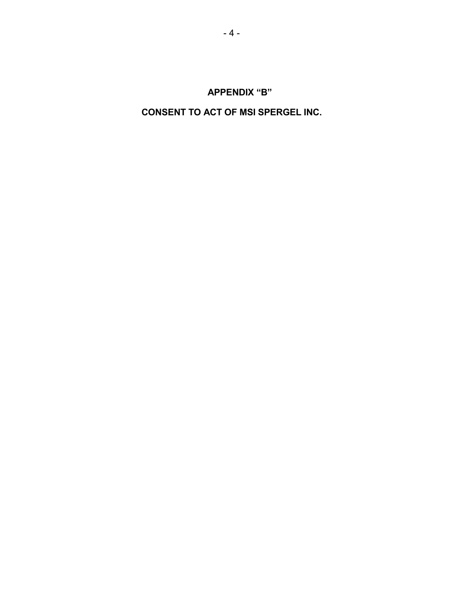# CONSENT TO ACT OF MSI SPERGEL INC.

# APPENDIX "B"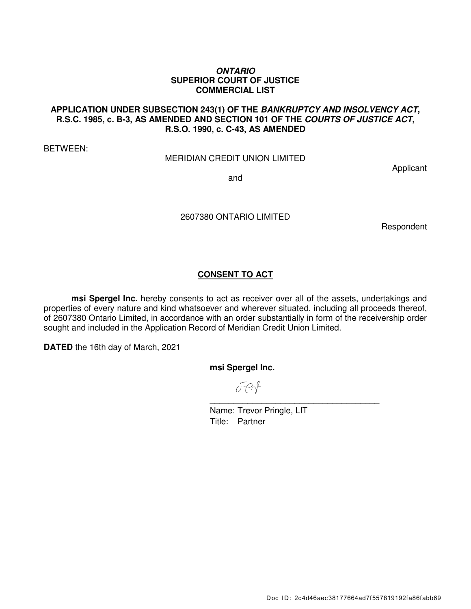#### *ONTARIO*  **SUPERIOR COURT OF JUSTICE COMMERCIAL LIST**

#### **APPLICATION UNDER SUBSECTION 243(1) OF THE** *BANKRUPTCY AND INSOLVENCY ACT***, R.S.C. 1985, c. B-3, AS AMENDED AND SECTION 101 OF THE** *COURTS OF JUSTICE ACT***, R.S.O. 1990, c. C-43, AS AMENDED**

BETWEEN:

#### MERIDIAN CREDIT UNION LIMITED

Applicant

and

2607380 ONTARIO LIMITED

Respondent

## **CONSENT TO ACT**

**msi Spergel Inc.** hereby consents to act as receiver over all of the assets, undertakings and properties of every nature and kind whatsoever and wherever situated, including all proceeds thereof, of 2607380 Ontario Limited, in accordance with an order substantially in form of the receivership order sought and included in the Application Record of Meridian Credit Union Limited.

**DATED** the 16th day of March, 2021

**msi Spergel Inc.** 

 $J - 2$ \_\_\_\_\_\_\_\_\_\_\_\_\_\_\_\_\_\_\_\_\_\_\_\_\_\_\_\_\_\_\_\_\_\_\_\_

Name: Trevor Pringle, LIT Title: Partner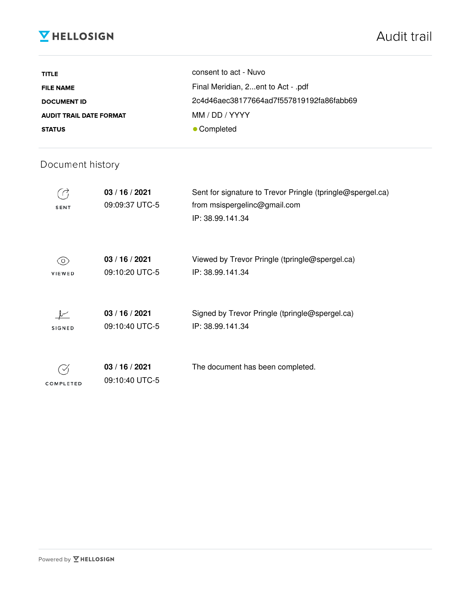# **V** HELLOSIGN

| <b>TITLE</b>                   | consent to act - Nuvo                    |
|--------------------------------|------------------------------------------|
| <b>FILE NAME</b>               | Final Meridian, 2ent to Act - .pdf       |
| <b>DOCUMENT ID</b>             | 2c4d46aec38177664ad7f557819192fa86fabb69 |
| <b>AUDIT TRAIL DATE FORMAT</b> | MM / DD / YYYY                           |
| <b>STATUS</b>                  | • Completed                              |

# Document history

| <b>SENT</b>         | 03/16/2021<br>09:09:37 UTC-5     | Sent for signature to Trevor Pringle (tpringle@spergel.ca)<br>from msispergelinc@gmail.com<br>IP: 38.99.141.34 |
|---------------------|----------------------------------|----------------------------------------------------------------------------------------------------------------|
| O)<br><b>VIEWED</b> | 03/16/2021<br>09:10:20 UTC-5     | Viewed by Trevor Pringle (tpringle@spergel.ca)<br>IP: 38.99.141.34                                             |
| <b>SIGNED</b>       | 03/16/2021<br>09:10:40 UTC-5     | Signed by Trevor Pringle (tpringle@spergel.ca)<br>IP: 38.99.141.34                                             |
| COMPLETED           | 03 / 16 / 2021<br>09:10:40 UTC-5 | The document has been completed.                                                                               |